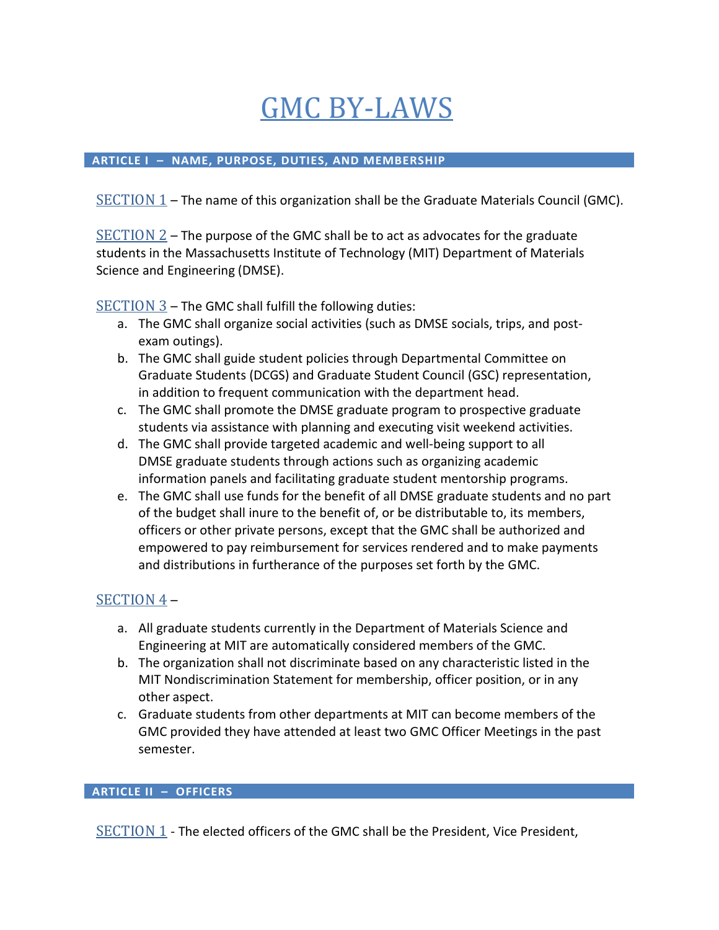# GMC BY-LAWS

#### **ARTICLE I – NAME, PURPOSE, DUTIES, AND MEMBERSHIP**

SECTION 1 – The name of this organization shall be the Graduate Materials Council (GMC).

 $SECTION 2$  – The purpose of the GMC shall be to act as advocates for the graduate students in the Massachusetts Institute of Technology (MIT) Department of Materials Science and Engineering (DMSE).

SECTION 3 – The GMC shall fulfill the following duties:

- a. The GMC shall organize social activities (such as DMSE socials, trips, and postexam outings).
- b. The GMC shall guide student policies through Departmental Committee on Graduate Students (DCGS) and Graduate Student Council (GSC) representation, in addition to frequent communication with the department head.
- c. The GMC shall promote the DMSE graduate program to prospective graduate students via assistance with planning and executing visit weekend activities.
- d. The GMC shall provide targeted academic and well-being support to all DMSE graduate students through actions such as organizing academic information panels and facilitating graduate student mentorship programs.
- e. The GMC shall use funds for the benefit of all DMSE graduate students and no part of the budget shall inure to the benefit of, or be distributable to, its members, officers or other private persons, except that the GMC shall be authorized and empowered to pay reimbursement for services rendered and to make payments and distributions in furtherance of the purposes set forth by the GMC.

# SECTION 4 –

- a. All graduate students currently in the Department of Materials Science and Engineering at MIT are automatically considered members of the GMC.
- b. The organization shall not discriminate based on any characteristic listed in the MIT Nondiscrimination Statement for membership, officer position, or in any other aspect.
- c. Graduate students from other departments at MIT can become members of the GMC provided they have attended at least two GMC Officer Meetings in the past semester.

#### **ARTICLE II – OFFICERS**

SECTION 1 - The elected officers of the GMC shall be the President, Vice President,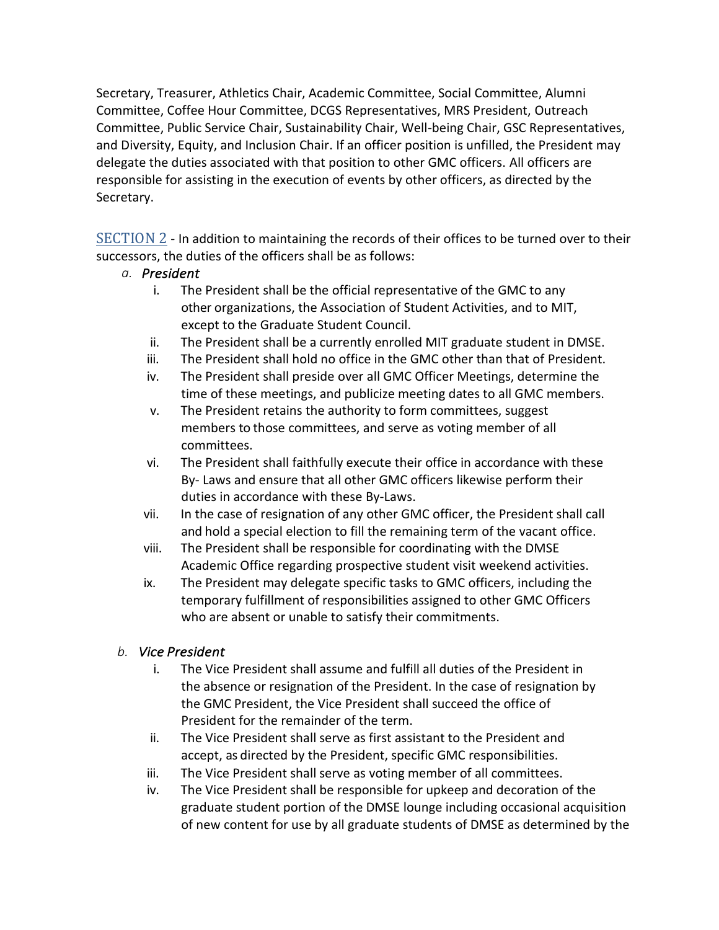Secretary, Treasurer, Athletics Chair, Academic Committee, Social Committee, Alumni Committee, Coffee Hour Committee, DCGS Representatives, MRS President, Outreach Committee, Public Service Chair, Sustainability Chair, Well-being Chair, GSC Representatives, and Diversity, Equity, and Inclusion Chair. If an officer position is unfilled, the President may delegate the duties associated with that position to other GMC officers. All officers are responsible for assisting in the execution of events by other officers, as directed by the Secretary.

SECTION 2 - In addition to maintaining the records of their offices to be turned over to their successors, the duties of the officers shall be as follows:

#### *a. President*

- i. The President shall be the official representative of the GMC to any other organizations, the Association of Student Activities, and to MIT, except to the Graduate Student Council.
- ii. The President shall be a currently enrolled MIT graduate student in DMSE.
- iii. The President shall hold no office in the GMC other than that of President.
- iv. The President shall preside over all GMC Officer Meetings, determine the time of these meetings, and publicize meeting dates to all GMC members.
- v. The President retains the authority to form committees, suggest members to those committees, and serve as voting member of all committees.
- vi. The President shall faithfully execute their office in accordance with these By- Laws and ensure that all other GMC officers likewise perform their duties in accordance with these By-Laws.
- vii. In the case of resignation of any other GMC officer, the President shall call and hold a special election to fill the remaining term of the vacant office.
- viii. The President shall be responsible for coordinating with the DMSE Academic Office regarding prospective student visit weekend activities.
- ix. The President may delegate specific tasks to GMC officers, including the temporary fulfillment of responsibilities assigned to other GMC Officers who are absent or unable to satisfy their commitments.

# *b. Vice President*

- i. The Vice President shall assume and fulfill all duties of the President in the absence or resignation of the President. In the case of resignation by the GMC President, the Vice President shall succeed the office of President for the remainder of the term.
- ii. The Vice President shall serve as first assistant to the President and accept, as directed by the President, specific GMC responsibilities.
- iii. The Vice President shall serve as voting member of all committees.
- iv. The Vice President shall be responsible for upkeep and decoration of the graduate student portion of the DMSE lounge including occasional acquisition of new content for use by all graduate students of DMSE as determined by the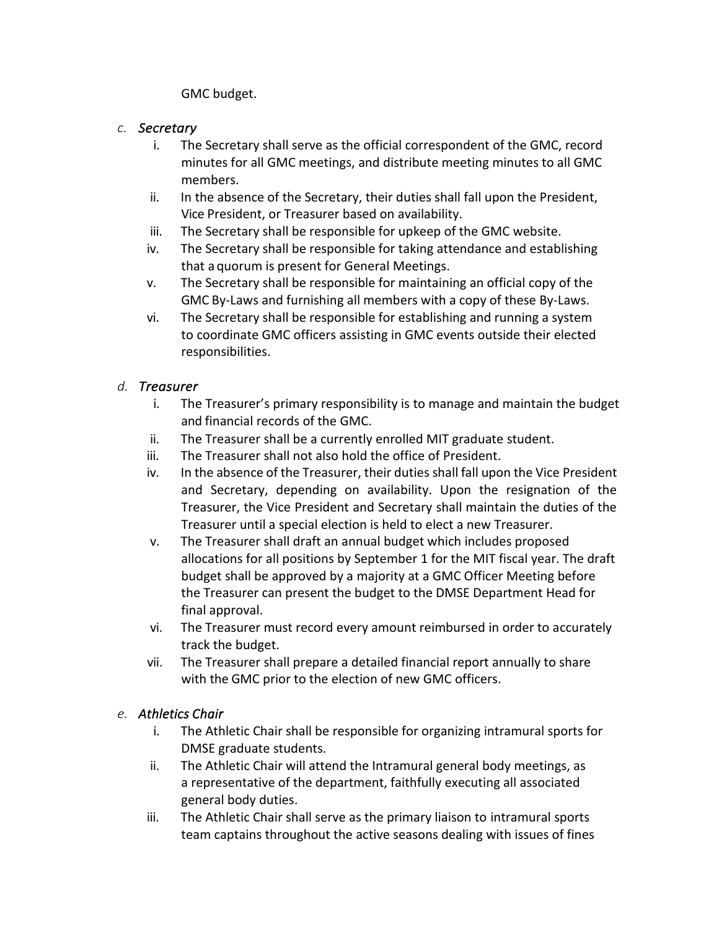GMC budget.

#### *c. Secretary*

- i. The Secretary shall serve as the official correspondent of the GMC, record minutes for all GMC meetings, and distribute meeting minutes to all GMC members.
- ii. In the absence of the Secretary, their duties shall fall upon the President, Vice President, or Treasurer based on availability.
- iii. The Secretary shall be responsible for upkeep of the GMC website.
- iv. The Secretary shall be responsible for taking attendance and establishing that a quorum is present for General Meetings.
- v. The Secretary shall be responsible for maintaining an official copy of the GMC By-Laws and furnishing all members with a copy of these By-Laws.
- vi. The Secretary shall be responsible for establishing and running a system to coordinate GMC officers assisting in GMC events outside their elected responsibilities.

#### *d. Treasurer*

- i. The Treasurer's primary responsibility is to manage and maintain the budget and financial records of the GMC.
- ii. The Treasurer shall be a currently enrolled MIT graduate student.
- iii. The Treasurer shall not also hold the office of President.
- iv. In the absence of the Treasurer, their duties shall fall upon the Vice President and Secretary, depending on availability. Upon the resignation of the Treasurer, the Vice President and Secretary shall maintain the duties of the Treasurer until a special election is held to elect a new Treasurer.
- v. The Treasurer shall draft an annual budget which includes proposed allocations for all positions by September 1 for the MIT fiscal year. The draft budget shall be approved by a majority at a GMC Officer Meeting before the Treasurer can present the budget to the DMSE Department Head for final approval.
- vi. The Treasurer must record every amount reimbursed in order to accurately track the budget.
- vii. The Treasurer shall prepare a detailed financial report annually to share with the GMC prior to the election of new GMC officers.

# *e. Athletics Chair*

- i. The Athletic Chair shall be responsible for organizing intramural sports for DMSE graduate students.
- ii. The Athletic Chair will attend the Intramural general body meetings, as a representative of the department, faithfully executing all associated general body duties.
- iii. The Athletic Chair shall serve as the primary liaison to intramural sports team captains throughout the active seasons dealing with issues of fines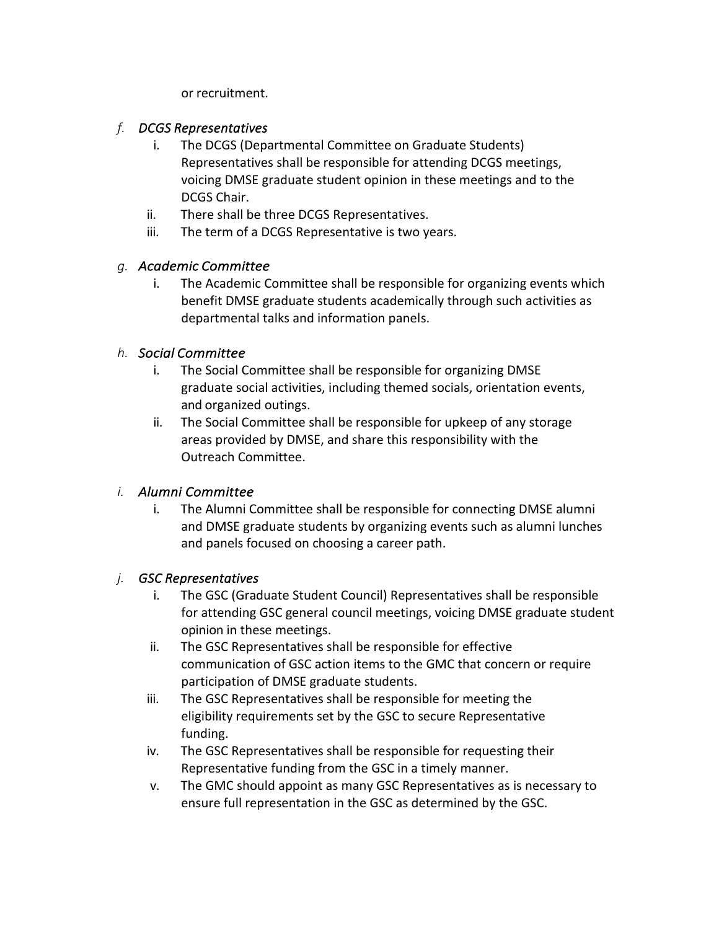or recruitment.

## *f. DCGS Representatives*

- i. The DCGS (Departmental Committee on Graduate Students) Representatives shall be responsible for attending DCGS meetings, voicing DMSE graduate student opinion in these meetings and to the DCGS Chair.
- ii. There shall be three DCGS Representatives.
- iii. The term of a DCGS Representative is two years.

# *g. Academic Committee*

i. The Academic Committee shall be responsible for organizing events which benefit DMSE graduate students academically through such activities as departmental talks and information panels.

## *h. Social Committee*

- i. The Social Committee shall be responsible for organizing DMSE graduate social activities, including themed socials, orientation events, and organized outings.
- ii. The Social Committee shall be responsible for upkeep of any storage areas provided by DMSE, and share this responsibility with the Outreach Committee.

# *i. Alumni Committee*

i. The Alumni Committee shall be responsible for connecting DMSE alumni and DMSE graduate students by organizing events such as alumni lunches and panels focused on choosing a career path.

# *j. GSC Representatives*

- i. The GSC (Graduate Student Council) Representatives shall be responsible for attending GSC general council meetings, voicing DMSE graduate student opinion in these meetings.
- ii. The GSC Representatives shall be responsible for effective communication of GSC action items to the GMC that concern or require participation of DMSE graduate students.
- iii. The GSC Representatives shall be responsible for meeting the eligibility requirements set by the GSC to secure Representative funding.
- iv. The GSC Representatives shall be responsible for requesting their Representative funding from the GSC in a timely manner.
- v. The GMC should appoint as many GSC Representatives as is necessary to ensure full representation in the GSC as determined by the GSC.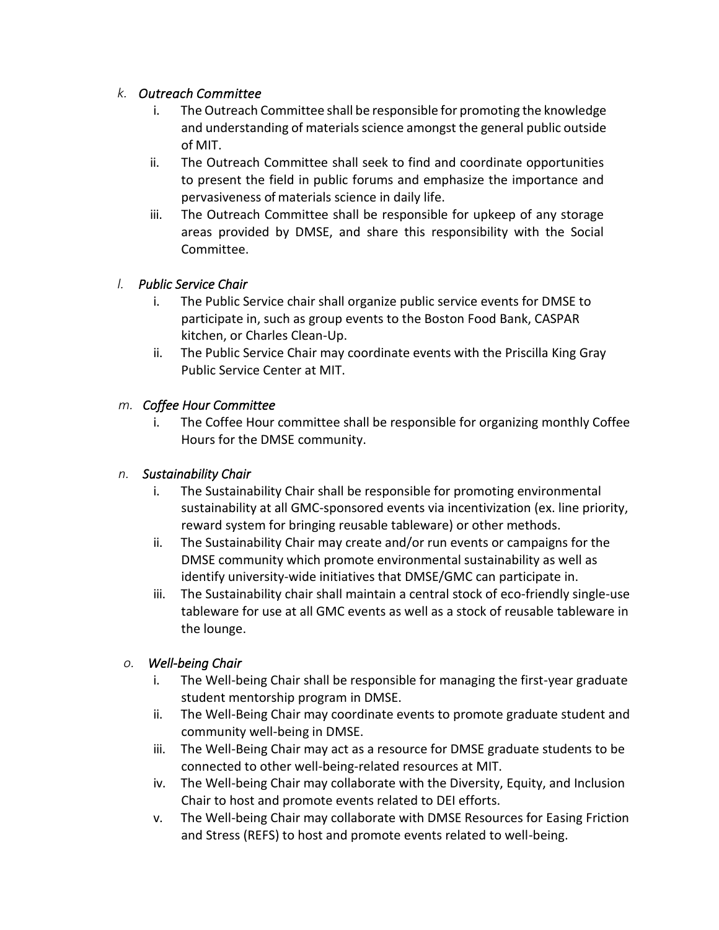## *k. Outreach Committee*

- The Outreach Committee shall be responsible for promoting the knowledge and understanding of materials science amongst the general public outside of MIT.
- ii. The Outreach Committee shall seek to find and coordinate opportunities to present the field in public forums and emphasize the importance and pervasiveness of materials science in daily life.
- iii. The Outreach Committee shall be responsible for upkeep of any storage areas provided by DMSE, and share this responsibility with the Social Committee.

# *l. Public Service Chair*

- i. The Public Service chair shall organize public service events for DMSE to participate in, such as group events to the Boston Food Bank, CASPAR kitchen, or Charles Clean-Up.
- ii. The Public Service Chair may coordinate events with the Priscilla King Gray Public Service Center at MIT.

## *m. Coffee Hour Committee*

i. The Coffee Hour committee shall be responsible for organizing monthly Coffee Hours for the DMSE community.

## *n. Sustainability Chair*

- i. The Sustainability Chair shall be responsible for promoting environmental sustainability at all GMC-sponsored events via incentivization (ex. line priority, reward system for bringing reusable tableware) or other methods.
- ii. The Sustainability Chair may create and/or run events or campaigns for the DMSE community which promote environmental sustainability as well as identify university-wide initiatives that DMSE/GMC can participate in.
- iii. The Sustainability chair shall maintain a central stock of eco-friendly single-use tableware for use at all GMC events as well as a stock of reusable tableware in the lounge.

#### *o. Well-being Chair*

- i. The Well-being Chair shall be responsible for managing the first-year graduate student mentorship program in DMSE.
- ii. The Well-Being Chair may coordinate events to promote graduate student and community well-being in DMSE.
- iii. The Well-Being Chair may act as a resource for DMSE graduate students to be connected to other well-being-related resources at MIT.
- iv. The Well-being Chair may collaborate with the Diversity, Equity, and Inclusion Chair to host and promote events related to DEI efforts.
- v. The Well-being Chair may collaborate with DMSE Resources for Easing Friction and Stress (REFS) to host and promote events related to well-being.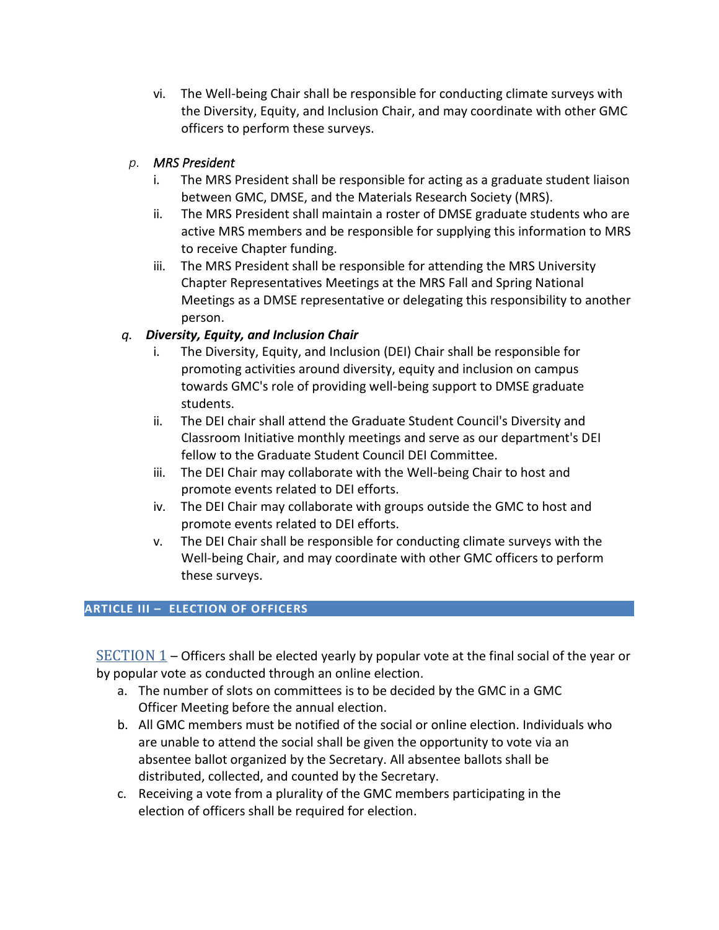vi. The Well-being Chair shall be responsible for conducting climate surveys with the Diversity, Equity, and Inclusion Chair, and may coordinate with other GMC officers to perform these surveys.

## *p. MRS President*

- i. The MRS President shall be responsible for acting as a graduate student liaison between GMC, DMSE, and the Materials Research Society (MRS).
- ii. The MRS President shall maintain a roster of DMSE graduate students who are active MRS members and be responsible for supplying this information to MRS to receive Chapter funding.
- iii. The MRS President shall be responsible for attending the MRS University Chapter Representatives Meetings at the MRS Fall and Spring National Meetings as a DMSE representative or delegating this responsibility to another person.

## *q. Diversity, Equity, and Inclusion Chair*

- i. The Diversity, Equity, and Inclusion (DEI) Chair shall be responsible for promoting activities around diversity, equity and inclusion on campus towards GMC's role of providing well-being support to DMSE graduate students.
- ii. The DEI chair shall attend the Graduate Student Council's Diversity and Classroom Initiative monthly meetings and serve as our department's DEI fellow to the Graduate Student Council DEI Committee.
- iii. The DEI Chair may collaborate with the Well-being Chair to host and promote events related to DEI efforts.
- iv. The DEI Chair may collaborate with groups outside the GMC to host and promote events related to DEI efforts.
- v. The DEI Chair shall be responsible for conducting climate surveys with the Well-being Chair, and may coordinate with other GMC officers to perform these surveys.

#### **ARTICLE III – ELECTION OF OFFICERS**

 $SECTION 1$  – Officers shall be elected yearly by popular vote at the final social of the year or by popular vote as conducted through an online election.

- a. The number of slots on committees is to be decided by the GMC in a GMC Officer Meeting before the annual election.
- b. All GMC members must be notified of the social or online election. Individuals who are unable to attend the social shall be given the opportunity to vote via an absentee ballot organized by the Secretary. All absentee ballots shall be distributed, collected, and counted by the Secretary.
- c. Receiving a vote from a plurality of the GMC members participating in the election of officers shall be required for election.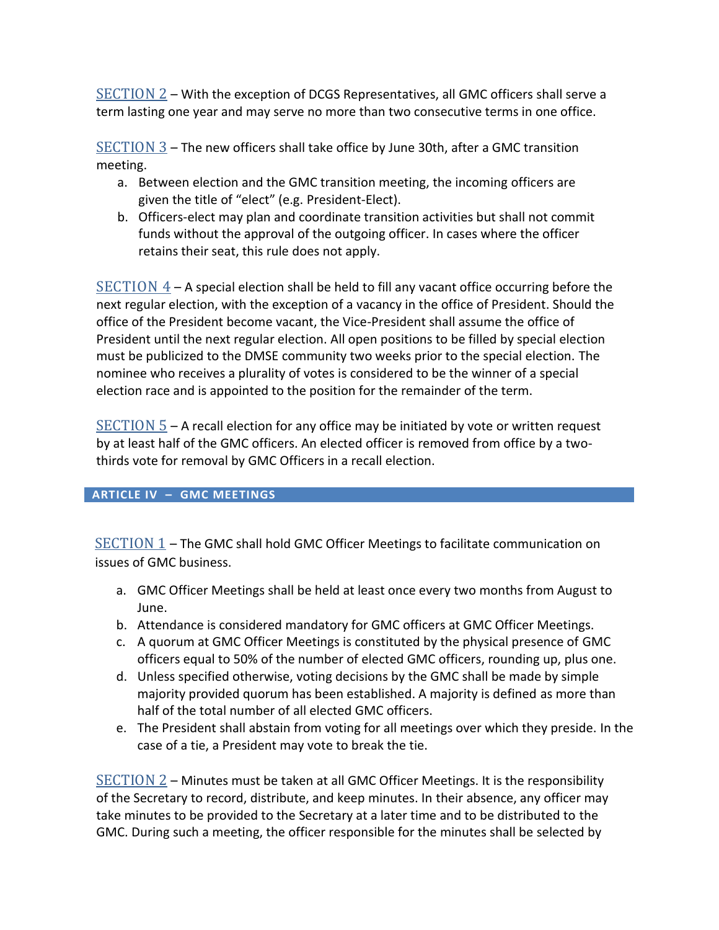SECTION 2 – With the exception of DCGS Representatives, all GMC officers shall serve a term lasting one year and may serve no more than two consecutive terms in one office.

 $SECTION 3$  – The new officers shall take office by June 30th, after a GMC transition</u> meeting.

- a. Between election and the GMC transition meeting, the incoming officers are given the title of "elect" (e.g. President-Elect).
- b. Officers-elect may plan and coordinate transition activities but shall not commit funds without the approval of the outgoing officer. In cases where the officer retains their seat, this rule does not apply.

 $SECTION 4 - A$  special election shall be held to fill any vacant office occurring before the next regular election, with the exception of a vacancy in the office of President. Should the office of the President become vacant, the Vice-President shall assume the office of President until the next regular election. All open positions to be filled by special election must be publicized to the DMSE community two weeks prior to the special election. The nominee who receives a plurality of votes is considered to be the winner of a special election race and is appointed to the position for the remainder of the term.

 $SECTION 5 -$  a recall election for any office may be initiated by vote or written request</u> by at least half of the GMC officers. An elected officer is removed from office by a twothirds vote for removal by GMC Officers in a recall election.

#### **ARTICLE IV – GMC MEETINGS**

SECTION 1 – The GMC shall hold GMC Officer Meetings to facilitate communication on issues of GMC business.

- a. GMC Officer Meetings shall be held at least once every two months from August to June.
- b. Attendance is considered mandatory for GMC officers at GMC Officer Meetings.
- c. A quorum at GMC Officer Meetings is constituted by the physical presence of GMC officers equal to 50% of the number of elected GMC officers, rounding up, plus one.
- d. Unless specified otherwise, voting decisions by the GMC shall be made by simple majority provided quorum has been established. A majority is defined as more than half of the total number of all elected GMC officers.
- e. The President shall abstain from voting for all meetings over which they preside. In the case of a tie, a President may vote to break the tie.

 $SECTION 2$  – Minutes must be taken at all GMC Officer Meetings. It is the responsibility</u> of the Secretary to record, distribute, and keep minutes. In their absence, any officer may take minutes to be provided to the Secretary at a later time and to be distributed to the GMC. During such a meeting, the officer responsible for the minutes shall be selected by